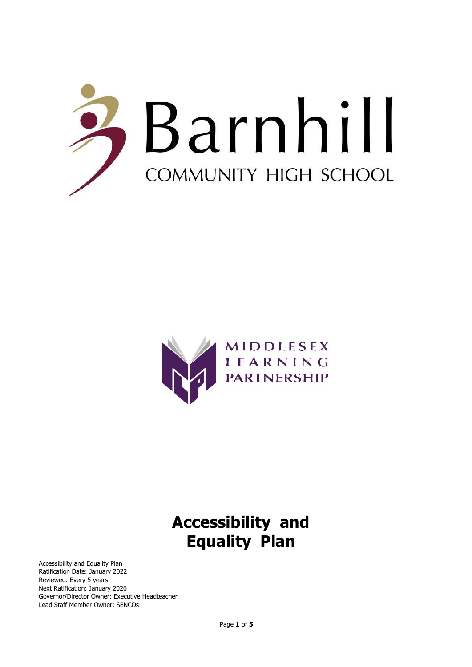



# **Accessibility and Equality Plan**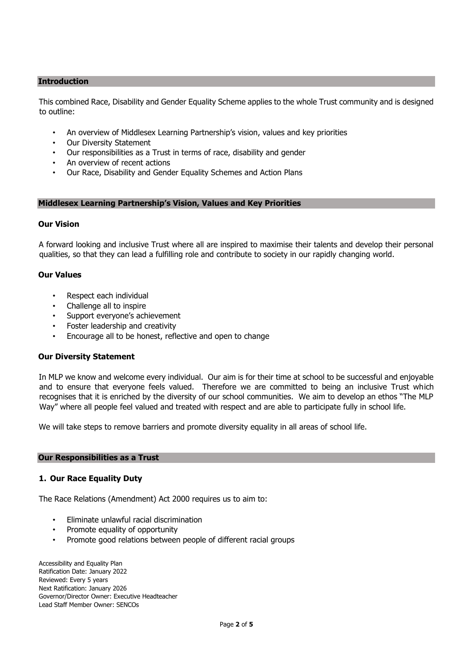#### **Introduction**

This combined Race, Disability and Gender Equality Scheme applies to the whole Trust community and is designed to outline:

- An overview of Middlesex Learning Partnership's vision, values and key priorities
- **Our Diversity Statement**
- Our responsibilities as a Trust in terms of race, disability and gender
- An overview of recent actions
- Our Race, Disability and Gender Equality Schemes and Action Plans

#### **Middlesex Learning Partnership's Vision, Values and Key Priorities**

## **Our Vision**

A forward looking and inclusive Trust where all are inspired to maximise their talents and develop their personal qualities, so that they can lead a fulfilling role and contribute to society in our rapidly changing world.

## **Our Values**

- Respect each individual
- Challenge all to inspire
- Support everyone's achievement
- Foster leadership and creativity
- Encourage all to be honest, reflective and open to change

#### **Our Diversity Statement**

In MLP we know and welcome every individual. Our aim is for their time at school to be successful and enjoyable and to ensure that everyone feels valued. Therefore we are committed to being an inclusive Trust which recognises that it is enriched by the diversity of our school communities. We aim to develop an ethos "The MLP Way" where all people feel valued and treated with respect and are able to participate fully in school life.

We will take steps to remove barriers and promote diversity equality in all areas of school life.

#### **Our Responsibilities as a Trust**

#### **1. Our Race Equality Duty**

The Race Relations (Amendment) Act 2000 requires us to aim to:

- Eliminate unlawful racial discrimination
- Promote equality of opportunity
- Promote good relations between people of different racial groups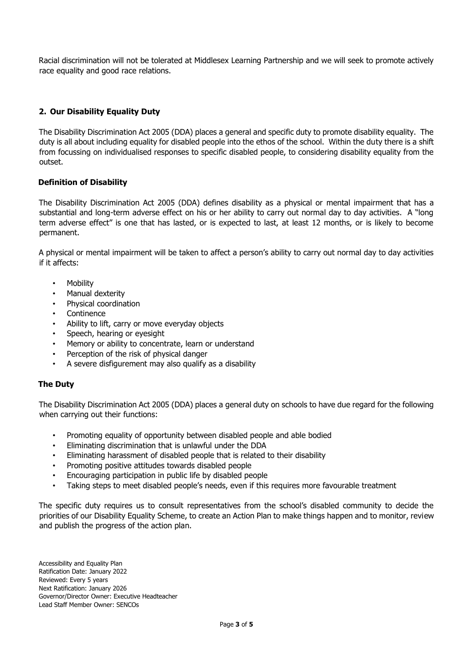Racial discrimination will not be tolerated at Middlesex Learning Partnership and we will seek to promote actively race equality and good race relations.

# **2. Our Disability Equality Duty**

The Disability Discrimination Act 2005 (DDA) places a general and specific duty to promote disability equality. The duty is all about including equality for disabled people into the ethos of the school. Within the duty there is a shift from focussing on individualised responses to specific disabled people, to considering disability equality from the outset.

## **Definition of Disability**

The Disability Discrimination Act 2005 (DDA) defines disability as a physical or mental impairment that has a substantial and long-term adverse effect on his or her ability to carry out normal day to day activities. A "long term adverse effect" is one that has lasted, or is expected to last, at least 12 months, or is likely to become permanent.

A physical or mental impairment will be taken to affect a person's ability to carry out normal day to day activities if it affects:

- **Mobility**
- Manual dexterity
- Physical coordination
- **Continence**
- Ability to lift, carry or move everyday objects
- Speech, hearing or eyesight
- Memory or ability to concentrate, learn or understand
- Perception of the risk of physical danger
- A severe disfigurement may also qualify as a disability

# **The Duty**

The Disability Discrimination Act 2005 (DDA) places a general duty on schools to have due regard for the following when carrying out their functions:

- Promoting equality of opportunity between disabled people and able bodied
- Eliminating discrimination that is unlawful under the DDA
- Eliminating harassment of disabled people that is related to their disability
- Promoting positive attitudes towards disabled people
- Encouraging participation in public life by disabled people
- Taking steps to meet disabled people's needs, even if this requires more favourable treatment

The specific duty requires us to consult representatives from the school's disabled community to decide the priorities of our Disability Equality Scheme, to create an Action Plan to make things happen and to monitor, review and publish the progress of the action plan.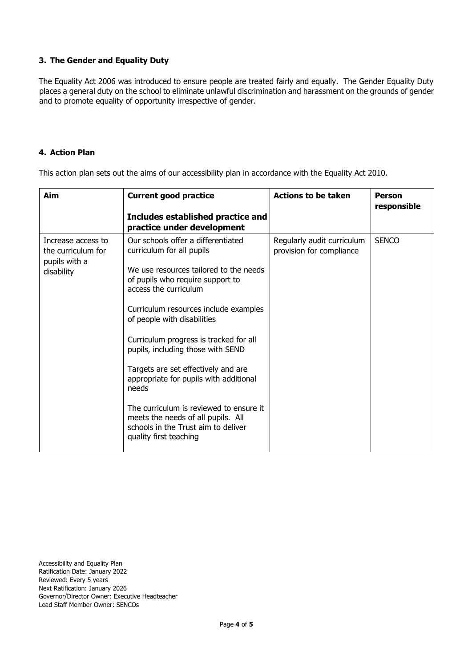# **3. The Gender and Equality Duty**

The Equality Act 2006 was introduced to ensure people are treated fairly and equally. The Gender Equality Duty places a general duty on the school to eliminate unlawful discrimination and harassment on the grounds of gender and to promote equality of opportunity irrespective of gender.

## **4. Action Plan**

This action plan sets out the aims of our accessibility plan in accordance with the Equality Act 2010.

| Aim                                                                     | <b>Current good practice</b><br>Includes established practice and<br>practice under development                                                                                                                                                                                                                                                                                                                                                                                                                                                                           | <b>Actions to be taken</b>                             | <b>Person</b><br>responsible |
|-------------------------------------------------------------------------|---------------------------------------------------------------------------------------------------------------------------------------------------------------------------------------------------------------------------------------------------------------------------------------------------------------------------------------------------------------------------------------------------------------------------------------------------------------------------------------------------------------------------------------------------------------------------|--------------------------------------------------------|------------------------------|
| Increase access to<br>the curriculum for<br>pupils with a<br>disability | Our schools offer a differentiated<br>curriculum for all pupils<br>We use resources tailored to the needs<br>of pupils who require support to<br>access the curriculum<br>Curriculum resources include examples<br>of people with disabilities<br>Curriculum progress is tracked for all<br>pupils, including those with SEND<br>Targets are set effectively and are<br>appropriate for pupils with additional<br>needs<br>The curriculum is reviewed to ensure it<br>meets the needs of all pupils. All<br>schools in the Trust aim to deliver<br>quality first teaching | Regularly audit curriculum<br>provision for compliance | <b>SENCO</b>                 |